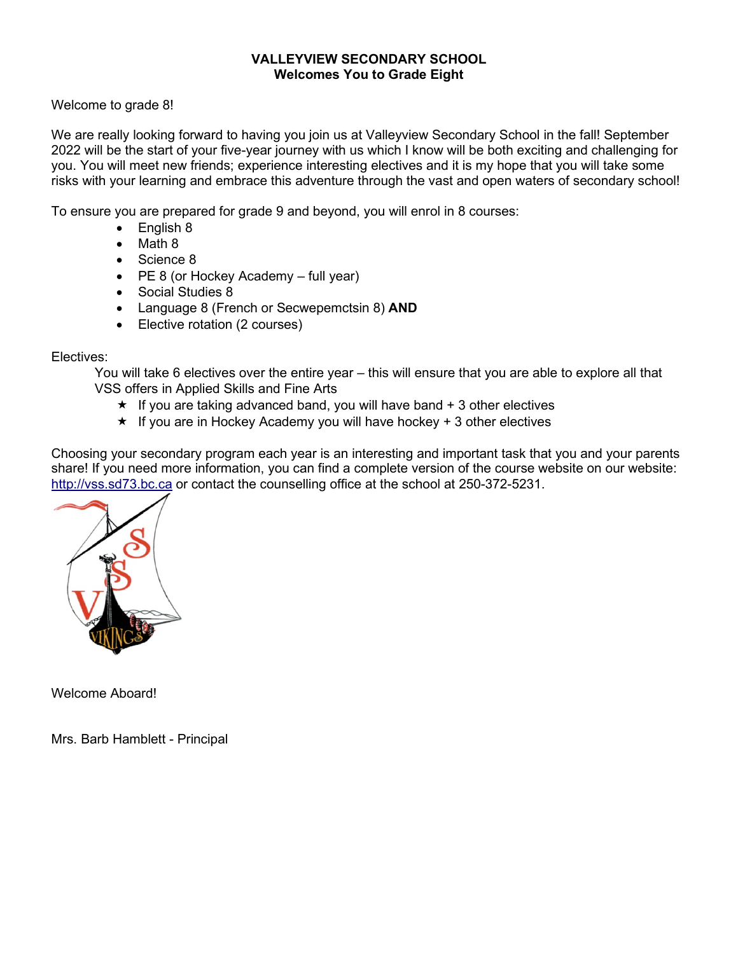# **VALLEYVIEW SECONDARY SCHOOL Welcomes You to Grade Eight**

Welcome to grade 8!

We are really looking forward to having you join us at Valleyview Secondary School in the fall! September 2022 will be the start of your five-year journey with us which I know will be both exciting and challenging for you. You will meet new friends; experience interesting electives and it is my hope that you will take some risks with your learning and embrace this adventure through the vast and open waters of secondary school!

To ensure you are prepared for grade 9 and beyond, you will enrol in 8 courses:

- English 8
- Math 8
- Science 8
- PE 8 (or Hockey Academy full year)
- Social Studies 8
- Language 8 (French or Secwepemctsin 8) **AND**
- Elective rotation (2 courses)

# Electives:

You will take 6 electives over the entire year – this will ensure that you are able to explore all that VSS offers in Applied Skills and Fine Arts

- $\star$  If you are taking advanced band, you will have band  $+3$  other electives
- $\star$  If you are in Hockey Academy you will have hockey + 3 other electives

Choosing your secondary program each year is an interesting and important task that you and your parents share! If you need more information, you can find a complete version of the course website on our website: [http://vss.sd73.bc.ca](http://vss.sd73.bc.ca/) or contact the counselling office at the school at 250-372-5231.



Welcome Aboard!

Mrs. Barb Hamblett - Principal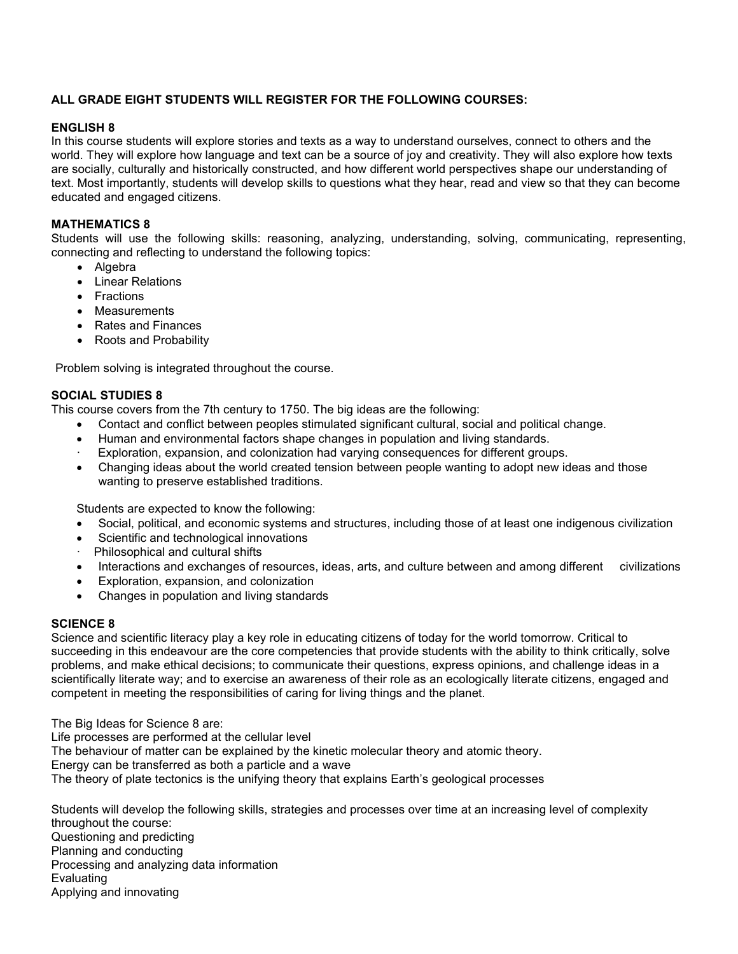# **ALL GRADE EIGHT STUDENTS WILL REGISTER FOR THE FOLLOWING COURSES:**

### **ENGLISH 8**

In this course students will explore stories and texts as a way to understand ourselves, connect to others and the world. They will explore how language and text can be a source of joy and creativity. They will also explore how texts are socially, culturally and historically constructed, and how different world perspectives shape our understanding of text. Most importantly, students will develop skills to questions what they hear, read and view so that they can become educated and engaged citizens.

## **MATHEMATICS 8**

Students will use the following skills: reasoning, analyzing, understanding, solving, communicating, representing, connecting and reflecting to understand the following topics:

- Algebra
- Linear Relations
- Fractions
- Measurements
- Rates and Finances
- Roots and Probability

Problem solving is integrated throughout the course.

### **SOCIAL STUDIES 8**

This course covers from the 7th century to 1750. The big ideas are the following:

- Contact and conflict between peoples stimulated significant cultural, social and political change.
- Human and environmental factors shape changes in population and living standards.
- Exploration, expansion, and colonization had varying consequences for different groups.
- Changing ideas about the world created tension between people wanting to adopt new ideas and those wanting to preserve established traditions.

Students are expected to know the following:

- Social, political, and economic systems and structures, including those of at least one indigenous civilization
- Scientific and technological innovations
- Philosophical and cultural shifts
- Interactions and exchanges of resources, ideas, arts, and culture between and among different civilizations
- Exploration, expansion, and colonization
- Changes in population and living standards

# **SCIENCE 8**

Science and scientific literacy play a key role in educating citizens of today for the world tomorrow. Critical to succeeding in this endeavour are the core competencies that provide students with the ability to think critically, solve problems, and make ethical decisions; to communicate their questions, express opinions, and challenge ideas in a scientifically literate way; and to exercise an awareness of their role as an ecologically literate citizens, engaged and competent in meeting the responsibilities of caring for living things and the planet.

The Big Ideas for Science 8 are:

Life processes are performed at the cellular level

The behaviour of matter can be explained by the kinetic molecular theory and atomic theory.

Energy can be transferred as both a particle and a wave

The theory of plate tectonics is the unifying theory that explains Earth's geological processes

Students will develop the following skills, strategies and processes over time at an increasing level of complexity throughout the course: Questioning and predicting Planning and conducting Processing and analyzing data information Evaluating Applying and innovating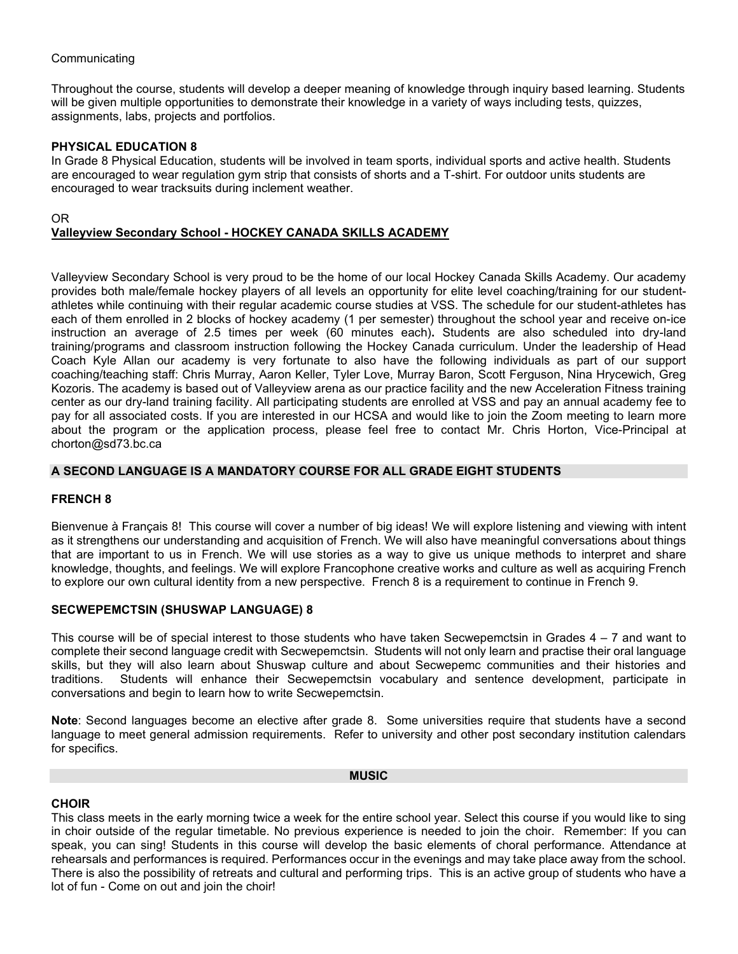## **Communicating**

Throughout the course, students will develop a deeper meaning of knowledge through inquiry based learning. Students will be given multiple opportunities to demonstrate their knowledge in a variety of ways including tests, quizzes, assignments, labs, projects and portfolios.

### **PHYSICAL EDUCATION 8**

In Grade 8 Physical Education, students will be involved in team sports, individual sports and active health. Students are encouraged to wear regulation gym strip that consists of shorts and a T-shirt. For outdoor units students are encouraged to wear tracksuits during inclement weather.

### OR **Valleyview Secondary School - HOCKEY CANADA SKILLS ACADEMY**

Valleyview Secondary School is very proud to be the home of our local Hockey Canada Skills Academy. Our academy provides both male/female hockey players of all levels an opportunity for elite level coaching/training for our studentathletes while continuing with their regular academic course studies at VSS. The schedule for our student-athletes has each of them enrolled in 2 blocks of hockey academy (1 per semester) throughout the school year and receive on-ice instruction an average of 2.5 times per week (60 minutes each)**.** Students are also scheduled into dry-land training/programs and classroom instruction following the Hockey Canada curriculum. Under the leadership of Head Coach Kyle Allan our academy is very fortunate to also have the following individuals as part of our support coaching/teaching staff: Chris Murray, Aaron Keller, Tyler Love, Murray Baron, Scott Ferguson, Nina Hrycewich, Greg Kozoris. The academy is based out of Valleyview arena as our practice facility and the new Acceleration Fitness training center as our dry-land training facility. All participating students are enrolled at VSS and pay an annual academy fee to pay for all associated costs. If you are interested in our HCSA and would like to join the Zoom meeting to learn more about the program or the application process, please feel free to contact Mr. Chris Horton, Vice-Principal at chorton@sd73.bc.ca

# **A SECOND LANGUAGE IS A MANDATORY COURSE FOR ALL GRADE EIGHT STUDENTS**

### **FRENCH 8**

Bienvenue à Français 8! This course will cover a number of big ideas! We will explore listening and viewing with intent as it strengthens our understanding and acquisition of French. We will also have meaningful conversations about things that are important to us in French. We will use stories as a way to give us unique methods to interpret and share knowledge, thoughts, and feelings. We will explore Francophone creative works and culture as well as acquiring French to explore our own cultural identity from a new perspective. French 8 is a requirement to continue in French 9.

### **SECWEPEMCTSIN (SHUSWAP LANGUAGE) 8**

This course will be of special interest to those students who have taken Secwepemctsin in Grades  $4 - 7$  and want to complete their second language credit with Secwepemctsin. Students will not only learn and practise their oral language skills, but they will also learn about Shuswap culture and about Secwepemc communities and their histories and traditions. Students will enhance their Secwepemctsin vocabulary and sentence development, participate in conversations and begin to learn how to write Secwepemctsin.

**Note**: Second languages become an elective after grade 8. Some universities require that students have a second language to meet general admission requirements. Refer to university and other post secondary institution calendars for specifics.

#### **MUSIC**

### **CHOIR**

This class meets in the early morning twice a week for the entire school year. Select this course if you would like to sing in choir outside of the regular timetable. No previous experience is needed to join the choir. Remember: If you can speak, you can sing! Students in this course will develop the basic elements of choral performance. Attendance at rehearsals and performances is required. Performances occur in the evenings and may take place away from the school. There is also the possibility of retreats and cultural and performing trips. This is an active group of students who have a lot of fun - Come on out and join the choir!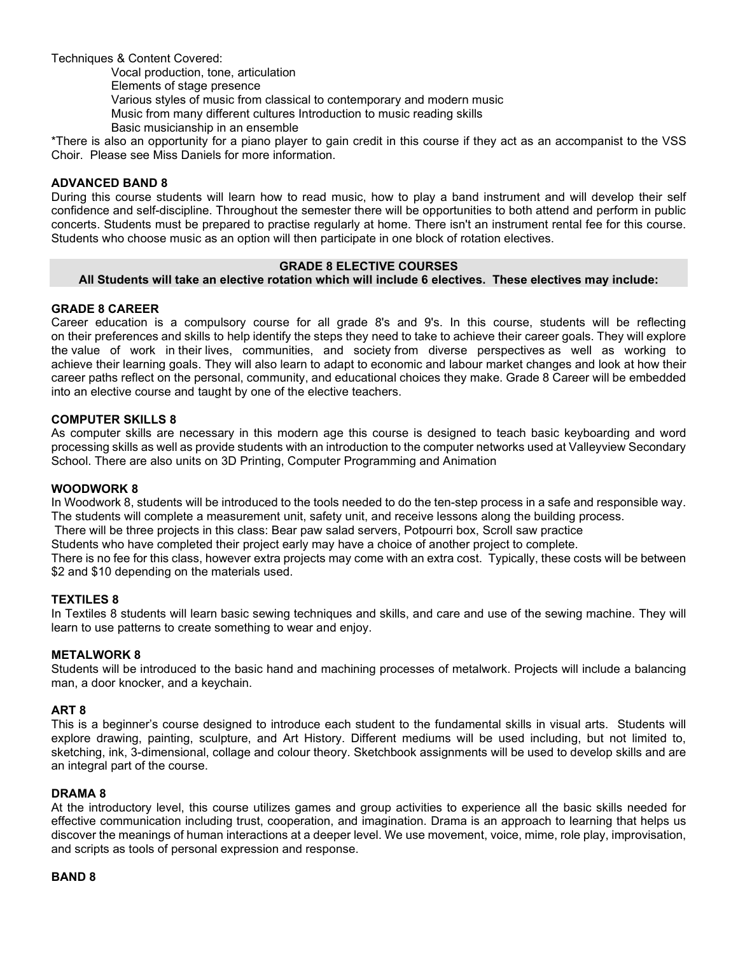Techniques & Content Covered:

Vocal production, tone, articulation

Elements of stage presence

Various styles of music from classical to contemporary and modern music

Music from many different cultures Introduction to music reading skills

Basic musicianship in an ensemble

\*There is also an opportunity for a piano player to gain credit in this course if they act as an accompanist to the VSS Choir. Please see Miss Daniels for more information.

## **ADVANCED BAND 8**

During this course students will learn how to read music, how to play a band instrument and will develop their self confidence and self-discipline. Throughout the semester there will be opportunities to both attend and perform in public concerts. Students must be prepared to practise regularly at home. There isn't an instrument rental fee for this course. Students who choose music as an option will then participate in one block of rotation electives.

# **GRADE 8 ELECTIVE COURSES**

### **All Students will take an elective rotation which will include 6 electives. These electives may include:**

# **GRADE 8 CAREER**

Career education is a compulsory course for all grade 8's and 9's. In this course, students will be reflecting on their preferences and skills to help identify the steps they need to take to achieve their career goals. They will explore the value of work in their lives, communities, and society from diverse perspectives as well as working to achieve their learning goals. They will also learn to adapt to economic and labour market changes and look at how their career paths reflect on the personal, community, and educational choices they make. Grade 8 Career will be embedded into an elective course and taught by one of the elective teachers.

### **COMPUTER SKILLS 8**

As computer skills are necessary in this modern age this course is designed to teach basic keyboarding and word processing skills as well as provide students with an introduction to the computer networks used at Valleyview Secondary School. There are also units on 3D Printing, Computer Programming and Animation

### **WOODWORK 8**

In Woodwork 8, students will be introduced to the tools needed to do the ten-step process in a safe and responsible way. The students will complete a measurement unit, safety unit, and receive lessons along the building process. There will be three projects in this class: Bear paw salad servers, Potpourri box, Scroll saw practice

Students who have completed their project early may have a choice of another project to complete.

There is no fee for this class, however extra projects may come with an extra cost. Typically, these costs will be between \$2 and \$10 depending on the materials used.

### **TEXTILES 8**

In Textiles 8 students will learn basic sewing techniques and skills, and care and use of the sewing machine. They will learn to use patterns to create something to wear and enjoy.

### **METALWORK 8**

Students will be introduced to the basic hand and machining processes of metalwork. Projects will include a balancing man, a door knocker, and a keychain.

### **ART 8**

This is a beginner's course designed to introduce each student to the fundamental skills in visual arts. Students will explore drawing, painting, sculpture, and Art History. Different mediums will be used including, but not limited to, sketching, ink, 3-dimensional, collage and colour theory. Sketchbook assignments will be used to develop skills and are an integral part of the course.

### **DRAMA 8**

At the introductory level, this course utilizes games and group activities to experience all the basic skills needed for effective communication including trust, cooperation, and imagination. Drama is an approach to learning that helps us discover the meanings of human interactions at a deeper level. We use movement, voice, mime, role play, improvisation, and scripts as tools of personal expression and response.

#### **BAND 8**